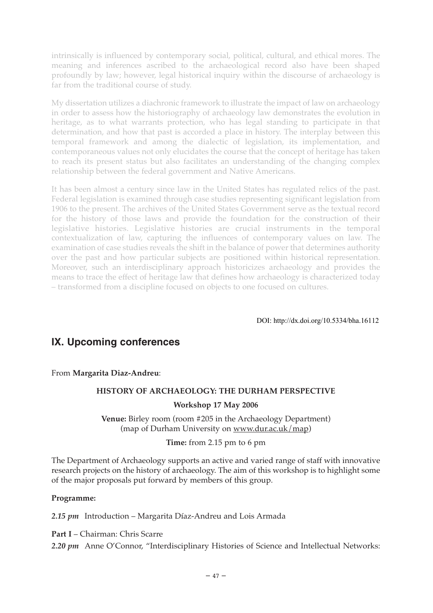intrinsically is influenced by contemporary social, political, cultural, and ethical mores. The meaning and inferences ascribed to the archaeological record also have been shaped profoundly by law; however, legal historical inquiry within the discourse of archaeology is far from the traditional course of study.

My dissertation utilizes a diachronic framework to illustrate the impact of law on archaeology in order to assess how the historiography of archaeology law demonstrates the evolution in heritage, as to what warrants protection, who has legal standing to participate in that determination, and how that past is accorded a place in history. The interplay between this temporal framework and among the dialectic of legislation, its implementation, and contemporaneous values not only elucidates the course that the concept of heritage has taken to reach its present status but also facilitates an understanding of the changing complex relationship between the federal government and Native Americans.

It has been almost a century since law in the United States has regulated relics of the past. Federal legislation is examined through case studies representing significant legislation from 1906 to the present. The archives of the United States Government serve as the textual record for the history of those laws and provide the foundation for the construction of their legislative histories. Legislative histories are crucial instruments in the temporal contextualization of law, capturing the influences of contemporary values on law. The examination of case studies reveals the shift in the balance of power that determines authority over the past and how particular subjects are positioned within historical representation. Moreover, such an interdisciplinary approach historicizes archaeology and provides the means to trace the effect of heritage law that defines how archaeology is characterized today – transformed from a discipline focused on objects to one focused on cultures.

DOI: http://dx.doi.org/10.5334/bha.16112

# **IX. Upcoming conferences**

From **Margarita Diaz-Andreu**:

# **HISTORY OF ARCHAEOLOGY: THE DURHAM PERSPECTIVE**

## **Workshop 17 May 2006**

**Venue:** Birley room (room #205 in the Archaeology Department) (map of Durham University on www.dur.ac.uk/map)

## **Time:** from 2.15 pm to 6 pm

The Department of Archaeology supports an active and varied range of staff with innovative research projects on the history of archaeology. The aim of this workshop is to highlight some of the major proposals put forward by members of this group.

## **Programme:**

*2.15 pm* Introduction – Margarita Díaz-Andreu and Lois Armada

**Part I** – Chairman: Chris Scarre

*2.20 pm* Anne O'Connor, "Interdisciplinary Histories of Science and Intellectual Networks: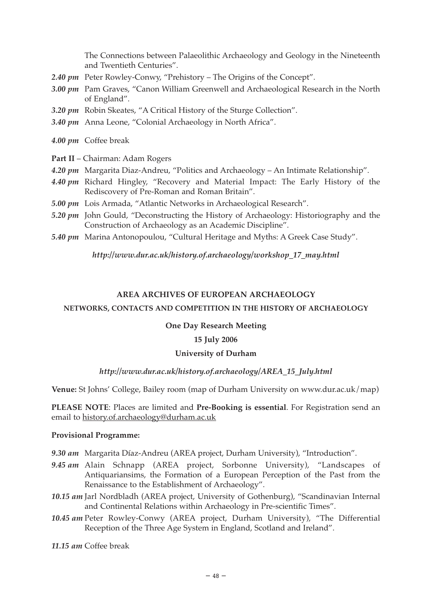The Connections between Palaeolithic Archaeology and Geology in the Nineteenth and Twentieth Centuries".

- *2.40 pm* Peter Rowley-Conwy, "Prehistory The Origins of the Concept".
- *3.00 pm* Pam Graves, "Canon William Greenwell and Archaeological Research in the North of England".
- *3.20 pm* Robin Skeates, "A Critical History of the Sturge Collection".
- *3.40 pm* Anna Leone, "Colonial Archaeology in North Africa".
- *4.00 pm* Coffee break
- **Part II** Chairman: Adam Rogers
- *4.20 pm* Margarita Diaz-Andreu, "Politics and Archaeology An Intimate Relationship".
- *4.40 pm* Richard Hingley, "Recovery and Material Impact: The Early History of the Rediscovery of Pre-Roman and Roman Britain".
- *5.00 pm* Lois Armada, "Atlantic Networks in Archaeological Research".
- *5.20 pm* John Gould, "Deconstructing the History of Archaeology: Historiography and the Construction of Archaeology as an Academic Discipline".
- *5.40 pm* Marina Antonopoulou, "Cultural Heritage and Myths: A Greek Case Study".

*http://www.dur.ac.uk/history.of.archaeology/workshop\_17\_may.html*

#### **AREA ARCHIVES OF EUROPEAN ARCHAEOLOGY**

#### **NETWORKS, CONTACTS AND COMPETITION IN THE HISTORY OF ARCHAEOLOGY**

#### **One Day Research Meeting**

### **15 July 2006**

#### **University of Durham**

### *http://www.dur.ac.uk/history.of.archaeology/AREA\_15\_July.html*

**Venue:** St Johns' College, Bailey room (map of Durham University on www.dur.ac.uk/map)

**PLEASE NOTE**: Places are limited and **Pre-Booking is essential**. For Registration send an email to history.of.archaeology@durham.ac.uk

#### **Provisional Programme:**

*9.30 am* Margarita Díaz-Andreu (AREA project, Durham University), "Introduction".

- *9.45 am* Alain Schnapp (AREA project, Sorbonne University), "Landscapes of Antiquariansims, the Formation of a European Perception of the Past from the Renaissance to the Establishment of Archaeology".
- *10.15 am* Jarl Nordbladh (AREA project, University of Gothenburg), "Scandinavian Internal and Continental Relations within Archaeology in Pre-scientific Times".
- *10.45 am* Peter Rowley-Conwy (AREA project, Durham University), "The Differential Reception of the Three Age System in England, Scotland and Ireland".

*11.15 am* Coffee break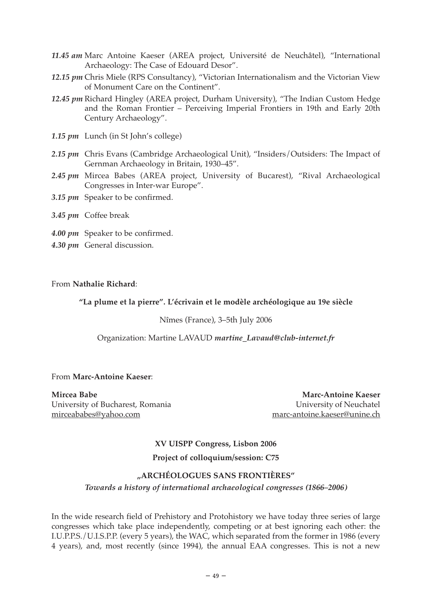- *11.45 am* Marc Antoine Kaeser (AREA project, Université de Neuchâtel), "International Archaeology: The Case of Edouard Desor".
- *12.15 pm* Chris Miele (RPS Consultancy), "Victorian Internationalism and the Victorian View of Monument Care on the Continent".
- *12.45 pm* Richard Hingley (AREA project, Durham University), "The Indian Custom Hedge and the Roman Frontier – Perceiving Imperial Frontiers in 19th and Early 20th Century Archaeology".
- *1.15 pm* Lunch (in St John's college)
- *2.15 pm* Chris Evans (Cambridge Archaeological Unit), "Insiders/Outsiders: The Impact of Gernman Archaeology in Britain, 1930–45".
- *2.45 pm* Mircea Babes (AREA project, University of Bucarest), "Rival Archaeological Congresses in Inter-war Europe".
- *3.15 pm* Speaker to be confirmed.
- *3.45 pm* Coffee break
- *4.00 pm* Speaker to be confirmed.
- *4.30 pm* General discussion.

## From **Nathalie Richard**:

## **"La plume et la pierre". L'écrivain et le modèle archéologique au 19e siècle**

#### Nîmes (France), 3–5th July 2006

### Organization: Martine LAVAUD *martine\_Lavaud@club-internet.fr*

#### From **Marc-Antoine Kaeser**:

**Mircea Babe Marc-Antoine Kaeser** University of Bucharest, Romania University of Neuchatel mirceababes@yahoo.com marc-antoine.kaeser@unine.ch

**XV UISPP Congress, Lisbon 2006 Project of colloquium/session: C75**

## **"ARCHÉOLOGUES SANS FRONTIÈRES"**

## *Towards a history of international archaeological congresses (1866–2006)*

In the wide research field of Prehistory and Protohistory we have today three series of large congresses which take place independently, competing or at best ignoring each other: the I.U.P.P.S./U.I.S.P.P. (every 5 years), the WAC, which separated from the former in 1986 (every 4 years), and, most recently (since 1994), the annual EAA congresses. This is not a new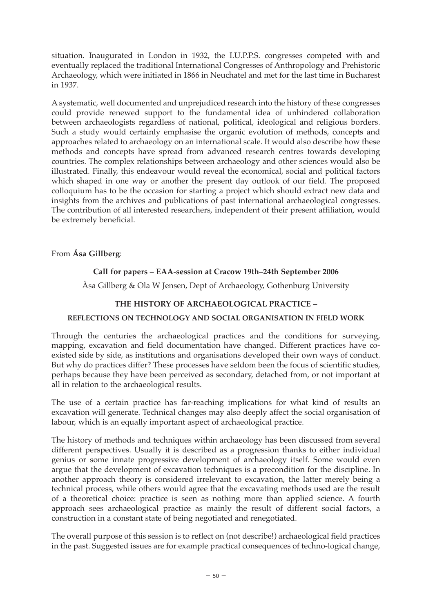situation. Inaugurated in London in 1932, the I.U.P.P.S. congresses competed with and eventually replaced the traditional International Congresses of Anthropology and Prehistoric Archaeology, which were initiated in 1866 in Neuchatel and met for the last time in Bucharest in 1937.

A systematic, well documented and unprejudiced research into the history of these congresses could provide renewed support to the fundamental idea of unhindered collaboration between archaeologists regardless of national, political, ideological and religious borders. Such a study would certainly emphasise the organic evolution of methods, concepts and approaches related to archaeology on an international scale. It would also describe how these methods and concepts have spread from advanced research centres towards developing countries. The complex relationships between archaeology and other sciences would also be illustrated. Finally, this endeavour would reveal the economical, social and political factors which shaped in one way or another the present day outlook of our field. The proposed colloquium has to be the occasion for starting a project which should extract new data and insights from the archives and publications of past international archaeological congresses. The contribution of all interested researchers, independent of their present affiliation, would be extremely beneficial.

From **Åsa Gillberg**:

# **Call for papers – EAA-session at Cracow 19th–24th September 2006**

Åsa Gillberg & Ola W Jensen, Dept of Archaeology, Gothenburg University

## **THE HISTORY OF ARCHAEOLOGICAL PRACTICE –**

## **REFLECTIONS ON TECHNOLOGY AND SOCIAL ORGANISATION IN FIELD WORK**

Through the centuries the archaeological practices and the conditions for surveying, mapping, excavation and field documentation have changed. Different practices have coexisted side by side, as institutions and organisations developed their own ways of conduct. But why do practices differ? These processes have seldom been the focus of scientific studies, perhaps because they have been perceived as secondary, detached from, or not important at all in relation to the archaeological results.

The use of a certain practice has far-reaching implications for what kind of results an excavation will generate. Technical changes may also deeply affect the social organisation of labour, which is an equally important aspect of archaeological practice.

The history of methods and techniques within archaeology has been discussed from several different perspectives. Usually it is described as a progression thanks to either individual genius or some innate progressive development of archaeology itself. Some would even argue that the development of excavation techniques is a precondition for the discipline. In another approach theory is considered irrelevant to excavation, the latter merely being a technical process, while others would agree that the excavating methods used are the result of a theoretical choice: practice is seen as nothing more than applied science. A fourth approach sees archaeological practice as mainly the result of different social factors, a construction in a constant state of being negotiated and renegotiated.

The overall purpose of this session is to reflect on (not describe!) archaeological field practices in the past. Suggested issues are for example practical consequences of techno-logical change,